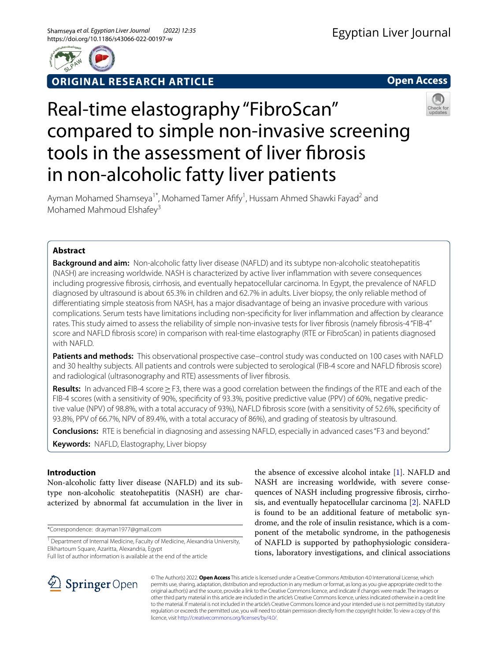

**ORIGINAL RESEARCH ARTICLE**

**Open Access**

# Real-time elastography "FibroScan" compared to simple non-invasive screening tools in the assessment of liver fbrosis in non-alcoholic fatty liver patients



Ayman Mohamed Shamseya<sup>1\*</sup>, Mohamed Tamer Afify<sup>1</sup>, Hussam Ahmed Shawki Fayad<sup>2</sup> and Mohamed Mahmoud Elshafey<sup>3</sup>

# **Abstract**

**Background and aim:** Non-alcoholic fatty liver disease (NAFLD) and its subtype non-alcoholic steatohepatitis (NASH) are increasing worldwide. NASH is characterized by active liver infammation with severe consequences including progressive fbrosis, cirrhosis, and eventually hepatocellular carcinoma. In Egypt, the prevalence of NAFLD diagnosed by ultrasound is about 65.3% in children and 62.7% in adults. Liver biopsy, the only reliable method of diferentiating simple steatosis from NASH, has a major disadvantage of being an invasive procedure with various complications. Serum tests have limitations including non-specifcity for liver infammation and afection by clearance rates. This study aimed to assess the reliability of simple non-invasive tests for liver fibrosis (namely fibrosis-4 "FIB-4" score and NAFLD fbrosis score) in comparison with real-time elastography (RTE or FibroScan) in patients diagnosed with NAFLD.

**Patients and methods:** This observational prospective case–control study was conducted on 100 cases with NAFLD and 30 healthy subjects. All patients and controls were subjected to serological (FIB-4 score and NAFLD fbrosis score) and radiological (ultrasonography and RTE) assessments of liver fbrosis.

**Results:** In advanced FIB-4 score≥F3, there was a good correlation between the fndings of the RTE and each of the FIB-4 scores (with a sensitivity of 90%, specifcity of 93.3%, positive predictive value (PPV) of 60%, negative predictive value (NPV) of 98.8%, with a total accuracy of 93%), NAFLD fbrosis score (with a sensitivity of 52.6%, specifcity of 93.8%, PPV of 66.7%, NPV of 89.4%, with a total accuracy of 86%), and grading of steatosis by ultrasound.

**Conclusions:** RTE is benefcial in diagnosing and assessing NAFLD, especially in advanced cases "F3 and beyond." **Keywords:** NAFLD, Elastography, Liver biopsy

# **Introduction**

Non-alcoholic fatty liver disease (NAFLD) and its subtype non-alcoholic steatohepatitis (NASH) are characterized by abnormal fat accumulation in the liver in

\*Correspondence: dr.ayman1977@gmail.com

Full list of author information is available at the end of the article

the absence of excessive alcohol intake [[1\]](#page-7-0). NAFLD and NASH are increasing worldwide, with severe consequences of NASH including progressive fbrosis, cirrhosis, and eventually hepatocellular carcinoma [[2\]](#page-7-1). NAFLD is found to be an additional feature of metabolic syndrome, and the role of insulin resistance, which is a component of the metabolic syndrome, in the pathogenesis of NAFLD is supported by pathophysiologic considerations, laboratory investigations, and clinical associations



© The Author(s) 2022. **Open Access** This article is licensed under a Creative Commons Attribution 4.0 International License, which permits use, sharing, adaptation, distribution and reproduction in any medium or format, as long as you give appropriate credit to the original author(s) and the source, provide a link to the Creative Commons licence, and indicate if changes were made. The images or other third party material in this article are included in the article's Creative Commons licence, unless indicated otherwise in a credit line to the material. If material is not included in the article's Creative Commons licence and your intended use is not permitted by statutory regulation or exceeds the permitted use, you will need to obtain permission directly from the copyright holder. To view a copy of this licence, visit [http://creativecommons.org/licenses/by/4.0/.](http://creativecommons.org/licenses/by/4.0/)

<sup>&</sup>lt;sup>1</sup> Department of Internal Medicine, Faculty of Medicine, Alexandria University, Elkhartoum Square, Azaritta, Alexandria, Egypt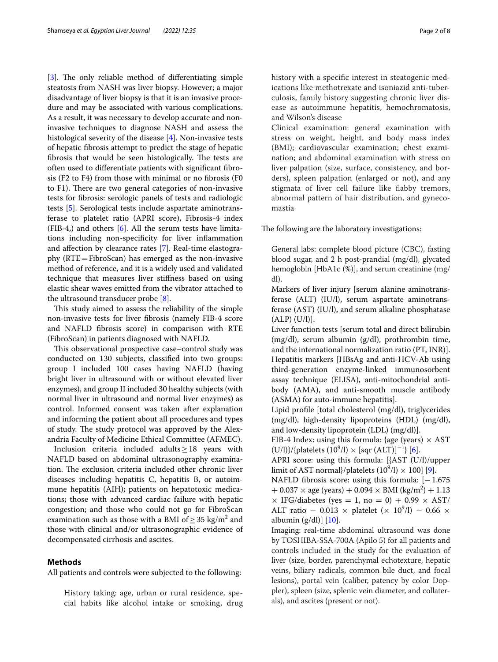[[3\]](#page-7-2). The only reliable method of differentiating simple steatosis from NASH was liver biopsy. However; a major disadvantage of liver biopsy is that it is an invasive procedure and may be associated with various complications. As a result, it was necessary to develop accurate and noninvasive techniques to diagnose NASH and assess the histological severity of the disease [[4\]](#page-7-3). Non-invasive tests of hepatic fbrosis attempt to predict the stage of hepatic fibrosis that would be seen histologically. The tests are often used to diferentiate patients with signifcant fbrosis (F2 to F4) from those with minimal or no fbrosis (F0 to F1). There are two general categories of non-invasive tests for fbrosis: serologic panels of tests and radiologic tests [[5\]](#page-7-4). Serological tests include aspartate aminotransferase to platelet ratio (APRI score), Fibrosis-4 index (FIB-4,) and others [\[6](#page-7-5)]. All the serum tests have limitations including non-specifcity for liver infammation and afection by clearance rates [[7\]](#page-7-6). Real-time elastography (RTE=FibroScan) has emerged as the non-invasive method of reference, and it is a widely used and validated technique that measures liver stifness based on using elastic shear waves emitted from the vibrator attached to the ultrasound transducer probe  $[8]$  $[8]$ .

This study aimed to assess the reliability of the simple non-invasive tests for liver fbrosis (namely FIB-4 score and NAFLD fbrosis score) in comparison with RTE (FibroScan) in patients diagnosed with NAFLD.

This observational prospective case–control study was conducted on 130 subjects, classifed into two groups: group I included 100 cases having NAFLD (having bright liver in ultrasound with or without elevated liver enzymes), and group II included 30 healthy subjects (with normal liver in ultrasound and normal liver enzymes) as control. Informed consent was taken after explanation and informing the patient about all procedures and types of study. The study protocol was approved by the Alexandria Faculty of Medicine Ethical Committee (AFMEC).

Inclusion criteria included adults≥18 years with NAFLD based on abdominal ultrasonography examination. The exclusion criteria included other chronic liver diseases including hepatitis C, hepatitis B, or autoimmune hepatitis (AIH); patients on hepatotoxic medications; those with advanced cardiac failure with hepatic congestion; and those who could not go for FibroScan examination such as those with a BMI of  $\geq$  35 kg/m<sup>2</sup> and those with clinical and/or ultrasonographic evidence of decompensated cirrhosis and ascites.

#### **Methods**

All patients and controls were subjected to the following:

History taking: age, urban or rural residence, special habits like alcohol intake or smoking, drug history with a specifc interest in steatogenic medications like methotrexate and isoniazid anti-tuberculosis, family history suggesting chronic liver disease as autoimmune hepatitis, hemochromatosis, and Wilson's disease

Clinical examination: general examination with stress on weight, height, and body mass index (BMI); cardiovascular examination; chest examination; and abdominal examination with stress on liver palpation (size, surface, consistency, and borders), spleen palpation (enlarged or not), and any stigmata of liver cell failure like fabby tremors, abnormal pattern of hair distribution, and gynecomastia

The following are the laboratory investigations:

General labs: complete blood picture (CBC), fasting blood sugar, and 2 h post-prandial (mg/dl), glycated hemoglobin [HbA1c (%)], and serum creatinine (mg/ dl).

Markers of liver injury [serum alanine aminotransferase (ALT) (IU/l), serum aspartate aminotransferase (AST) (IU/l), and serum alkaline phosphatase  $(ALP) (U/l)$ ].

Liver function tests [serum total and direct bilirubin (mg/dl), serum albumin (g/dl), prothrombin time, and the international normalization ratio (PT, INR)]. Hepatitis markers [HBsAg and anti-HCV-Ab using third-generation enzyme-linked immunosorbent assay technique (ELISA), anti-mitochondrial antibody (AMA), and anti-smooth muscle antibody (ASMA) for auto-immune hepatitis].

Lipid profle [total cholesterol (mg/dl), triglycerides (mg/dl), high-density lipoproteins (HDL) (mg/dl), and low-density lipoprotein (LDL) (mg/dl)].

FIB-4 Index: using this formula: {age (years)  $\times$  AST  $(U/I)$ }/{platelets  $(10^9/I) \times [sqrt (ALT)]^{-1}$ } [[6\]](#page-7-5).

APRI score: using this formula: [{AST (U/l)/upper limit of AST normal}/platelets  $(10^9/l) \times 100$ ] [\[9\]](#page-7-8).

NAFLD fibrosis score: using this formula:  $[-1.675]$  $+ 0.037 \times \text{age (years)} + 0.094 \times \text{BMI (kg/m}^2) + 1.13$  $\times$  IFG/diabetes (yes = 1, no = 0) + 0.99  $\times$  AST/ ALT ratio – 0.013 × platelet (×  $10^9$ /l) – 0.66 × albumin  $(g/dl)$  [\[10\]](#page-7-9).

Imaging: real-time abdominal ultrasound was done by TOSHIBA-SSA-700A (Apilo 5) for all patients and controls included in the study for the evaluation of liver (size, border, parenchymal echotexture, hepatic veins, biliary radicals, common bile duct, and focal lesions), portal vein (caliber, patency by color Doppler), spleen (size, splenic vein diameter, and collaterals), and ascites (present or not).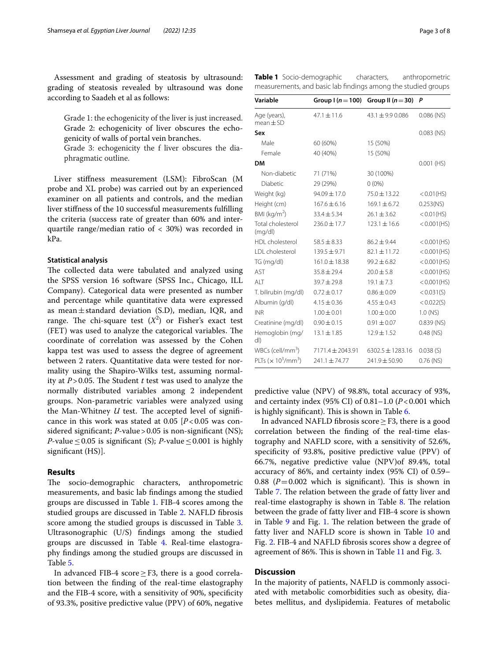Assessment and grading of steatosis by ultrasound: grading of steatosis revealed by ultrasound was done according to Saadeh et al as follows:

Grade 1: the echogenicity of the liver is just increased. Grade 2: echogenicity of liver obscures the echogenicity of walls of portal vein branches.

Grade 3: echogenicity the f liver obscures the diaphragmatic outline.

Liver stifness measurement (LSM): FibroScan (M probe and XL probe) was carried out by an experienced examiner on all patients and controls, and the median liver stifness of the 10 successful measurements fulflling the criteria (success rate of greater than 60% and interquartile range/median ratio of < 30%) was recorded in kPa.

#### **Statistical analysis**

The collected data were tabulated and analyzed using the SPSS version 16 software (SPSS Inc., Chicago, ILL Company). Categorical data were presented as number and percentage while quantitative data were expressed as mean $\pm$ standard deviation (S.D), median, IQR, and range. The chi-square test  $(X^2)$  or Fisher's exact test (FET) was used to analyze the categorical variables. The coordinate of correlation was assessed by the Cohen kappa test was used to assess the degree of agreement between 2 raters. Quantitative data were tested for normality using the Shapiro-Wilks test, assuming normality at  $P > 0.05$ . The Student  $t$  test was used to analyze the normally distributed variables among 2 independent groups. Non-parametric variables were analyzed using the Man-Whitney  $U$  test. The accepted level of significance in this work was stated at  $0.05$  [ $P < 0.05$  was considered significant; *P*-value > 0.05 is non-significant (NS); *P*-value  $\leq$  0.05 is significant (S); *P*-value  $\leq$  0.001 is highly significant (HS)].

#### **Results**

The socio-demographic characters, anthropometric measurements, and basic lab fndings among the studied groups are discussed in Table [1.](#page-2-0) FIB-4 scores among the studied groups are discussed in Table [2](#page-3-0). NAFLD fbrosis score among the studied groups is discussed in Table [3](#page-3-1). Ultrasonographic (U/S) fndings among the studied groups are discussed in Table [4.](#page-3-2) Real-time elastography fndings among the studied groups are discussed in Table [5](#page-3-3).

In advanced FIB-4 score  $\geq$  F3, there is a good correlation between the fnding of the real-time elastography and the FIB-4 score, with a sensitivity of 90%, specifcity of 93.3%, positive predictive value (PPV) of 60%, negative

<span id="page-2-0"></span>

| Table 1 Socio-demographic                                     | characters, | anthropometric |  |
|---------------------------------------------------------------|-------------|----------------|--|
| measurements, and basic lab findings among the studied groups |             |                |  |

| Variable                       | Group $(n=100)$      | Group II ( $n = 30$ ) | P              |  |
|--------------------------------|----------------------|-----------------------|----------------|--|
| Age (years),<br>$mean \pm SD$  | $47.1 \pm 11.6$      | $43.1 \pm 9.9$ 0.086  | $0.086$ (NS)   |  |
| Sex                            |                      |                       | $0.083$ (NS)   |  |
| Male                           | 60 (60%)             | 15 (50%)              |                |  |
| Female                         | 40 (40%)             | 15 (50%)              |                |  |
| <b>DM</b>                      |                      |                       | $0.001$ (HS)   |  |
| Non-diabetic                   | 71 (71%)             | 30 (100%)             |                |  |
| Diabetic                       | 29 (29%)             | $0(0\%)$              |                |  |
| Weight (kg)                    | 94.09±17.0           | 75.0 ± 13.22          | $< 0.01$ (HS)  |  |
| Height (cm)                    | $167.6 \pm 6.16$     | $169.1 \pm 6.72$      | $0.253$ (NS)   |  |
| BMI ( $kg/m2$ )                | $33.4 \pm 5.34$      | $26.1 \pm 3.62$       | < 0.01(HS)     |  |
| Total cholesterol<br>(mq/dl)   | $236.0 \pm 17.7$     | $123.1 \pm 16.6$      | $< 0.001$ (HS) |  |
| HDL cholesterol                | $58.5 \pm 8.33$      | $86.2 \pm 9.44$       | $< 0.001$ (HS) |  |
| LDL cholesterol                | $139.5 \pm 9.71$     | $82.1 \pm 11.72$      | < 0.001(HS)    |  |
| TG (mg/dl)                     | $161.0 \pm 18.38$    | $99.2 \pm 6.82$       | $< 0.001$ (HS) |  |
| AST                            | $35.8 \pm 29.4$      | $20.0 \pm 5.8$        | < 0.001(HS)    |  |
| ALT                            | $39.7 \pm 29.8$      | $19.1 \pm 7.3$        | $< 0.001$ (HS) |  |
| T. bilirubin (mg/dl)           | $0.72 \pm 0.17$      | $0.86 \pm 0.09$       | < 0.031(S)     |  |
| Albumin (g/dl)                 | $4.15 \pm 0.36$      | $4.55 \pm 0.43$       | < 0.022(S)     |  |
| <b>INR</b>                     | $1.00 \pm 0.01$      | $1.00 \pm 0.00$       | $1.0$ (NS)     |  |
| Creatinine (mg/dl)             | $0.90 \pm 0.15$      | $0.91 \pm 0.07$       | $0.839$ (NS)   |  |
| Hemoglobin (mg/<br>dl)         | $13.1 \pm 1.85$      | $12.9 \pm 1.52$       | $0.48$ (NS)    |  |
| $WBCs$ (cell/mm <sup>3</sup> ) | $7171.4 \pm 2043.91$ | $6302.5 \pm 1283.16$  | 0.038(S)       |  |
| PLTs $(x 10^3/mm^3)$           | 241.1±74.77          | $241.9 \pm 50.90$     | $0.76$ (NS)    |  |
|                                |                      |                       |                |  |

predictive value (NPV) of 98.8%, total accuracy of 93%, and certainty index (95% CI) of 0.81–1.0 (*P*<0.001 which is highly significant). This is shown in Table [6](#page-4-0).

In advanced NAFLD fbrosis score≥F3, there is a good correlation between the fnding of the real-time elastography and NAFLD score, with a sensitivity of 52.6%, specifcity of 93.8%, positive predictive value (PPV) of 66.7%, negative predictive value (NPV)of 89.4%, total accuracy of 86%, and certainty index (95% CI) of 0.59– 0.88  $(P=0.002$  which is significant). This is shown in Table [7.](#page-4-1) The relation between the grade of fatty liver and real-time elastography is shown in Table  $8$ . The relation between the grade of fatty liver and FIB-4 score is shown in Table  $9$  and Fig. [1](#page-5-0). The relation between the grade of fatty liver and NAFLD score is shown in Table [10](#page-5-1) and Fig. [2.](#page-5-2) FIB-4 and NAFLD fbrosis scores show a degree of agreement of 86%. This is shown in Table [11](#page-6-0) and Fig. [3](#page-6-1).

#### **Discussion**

In the majority of patients, NAFLD is commonly associated with metabolic comorbidities such as obesity, diabetes mellitus, and dyslipidemia. Features of metabolic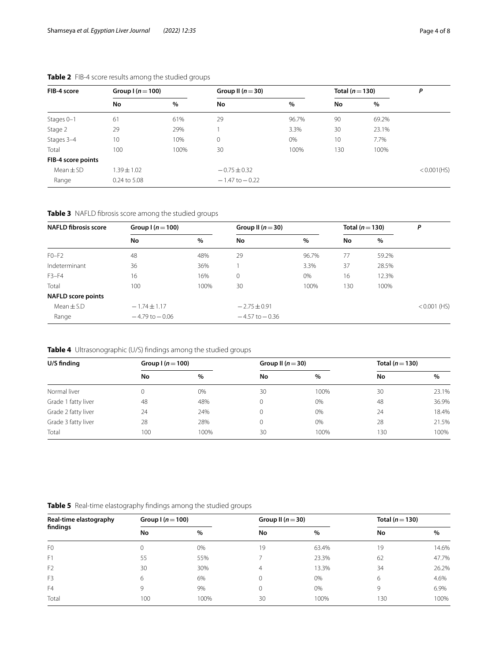| FIB-4 score        | Group $(n=100)$ |      | Group II $(n=30)$  |       |     | Total $(n=130)$ |             |
|--------------------|-----------------|------|--------------------|-------|-----|-----------------|-------------|
|                    | No              | %    | No                 | $\%$  | No  | $\%$            |             |
| Stages 0-1         | 61              | 61%  | 29                 | 96.7% | 90  | 69.2%           |             |
| Stage 2            | 29              | 29%  |                    | 3.3%  | 30  | 23.1%           |             |
| Stages 3-4         | 10              | 10%  | $\overline{0}$     | 0%    | 10  | 7.7%            |             |
| Total              | 100             | 100% | 30                 | 100%  | 130 | 100%            |             |
| FIB-4 score points |                 |      |                    |       |     |                 |             |
| $Mean \pm SD$      | $1.39 \pm 1.02$ |      | $-0.75 \pm 0.32$   |       |     |                 | < 0.001(HS) |
| Range              | 0.24 to 5.08    |      | $-1.47$ to $-0.22$ |       |     |                 |             |

## <span id="page-3-0"></span>**Table 2** FIB-4 score results among the studied groups

<span id="page-3-1"></span>**Table 3** NAFLD fbrosis score among the studied groups

| <b>NAFLD fibrosis score</b> | Group $(n=100)$    |      | Group II $(n=30)$  |       | Total ( $n = 130$ ) |       | Ρ              |
|-----------------------------|--------------------|------|--------------------|-------|---------------------|-------|----------------|
|                             | No                 | $\%$ | No                 | $\%$  | No                  | $\%$  |                |
| $F0-F2$                     | 48                 | 48%  | 29                 | 96.7% | 77                  | 59.2% |                |
| Indeterminant               | 36                 | 36%  |                    | 3.3%  | 37                  | 28.5% |                |
| $F3-F4$                     | 16                 | 16%  | 0                  | 0%    | 16                  | 12.3% |                |
| Total                       | 100                | 100% | 30                 | 100%  | 130                 | 100%  |                |
| <b>NAFLD</b> score points   |                    |      |                    |       |                     |       |                |
| Mean $\pm$ S.D              | $-1.74 \pm 1.17$   |      | $-2.75 \pm 0.91$   |       |                     |       | $< 0.001$ (HS) |
| Range                       | $-4.79$ to $-0.06$ |      | $-4.57$ to $-0.36$ |       |                     |       |                |

## <span id="page-3-2"></span>**Table 4** Ultrasonographic (U/S) fndings among the studied groups

| U/S finding         | Group $(n=100)$ |      | Group II $(n=30)$ |      | Total ( $n = 130$ ) |       |
|---------------------|-----------------|------|-------------------|------|---------------------|-------|
|                     | No              | $\%$ | No                | $\%$ | No                  | %     |
| Normal liver        |                 | 0%   | 30                | 100% | 30                  | 23.1% |
| Grade 1 fatty liver | 48              | 48%  | $\Omega$          | 0%   | 48                  | 36.9% |
| Grade 2 fatty liver | 24              | 24%  | 0                 | 0%   | 24                  | 18.4% |
| Grade 3 fatty liver | 28              | 28%  |                   | 0%   | 28                  | 21.5% |
| Total               | 100             | 100% | 30                | 100% | 130                 | 100%  |

<span id="page-3-3"></span>

| <b>Table 5</b> Real-time elastography findings among the studied groups |
|-------------------------------------------------------------------------|

| Real-time elastography<br>findings | Group $(n=100)$ |      | Group II ( $n = 30$ ) |       | Total ( $n = 130$ ) |       |
|------------------------------------|-----------------|------|-----------------------|-------|---------------------|-------|
|                                    | No              | %    | No                    | $\%$  | No                  | %     |
| F <sub>0</sub>                     |                 | 0%   | 19                    | 63.4% | 19                  | 14.6% |
| F1                                 | 55              | 55%  |                       | 23.3% | 62                  | 47.7% |
| F <sub>2</sub>                     | 30              | 30%  | 4                     | 13.3% | 34                  | 26.2% |
| F <sub>3</sub>                     | 6               | 6%   |                       | 0%    | 6                   | 4.6%  |
| F <sub>4</sub>                     | 9               | 9%   |                       | 0%    | 9                   | 6.9%  |
| Total                              | 100             | 100% | 30                    | 100%  | 130                 | 100%  |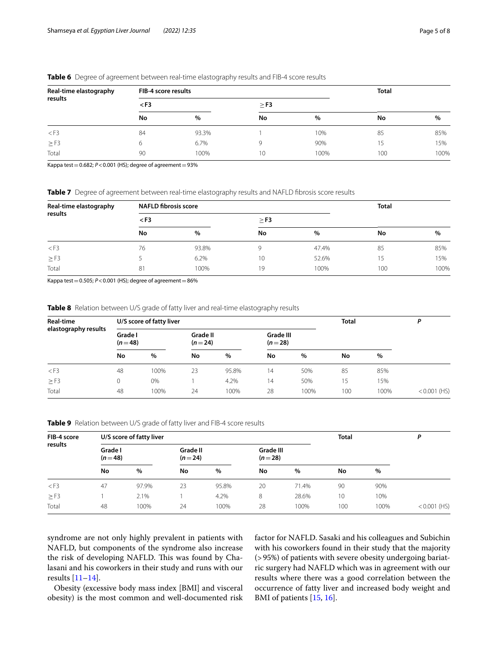| Real-time elastography<br>results | FIB-4 score results |       |           |      | <b>Total</b> |      |  |
|-----------------------------------|---------------------|-------|-----------|------|--------------|------|--|
|                                   | $<$ F3              |       | $\geq$ F3 |      |              |      |  |
|                                   | No                  | %     | No        | %    | No           | $\%$ |  |
| $<$ F3                            | 84                  | 93.3% |           | 10%  | 85           | 85%  |  |
| $\geq$ F3                         | 6                   | 6.7%  | Q         | 90%  | 15           | 15%  |  |
| Total                             | 90                  | 100%  | 10        | 100% | 100          | 100% |  |

#### <span id="page-4-0"></span>**Table 6** Degree of agreement between real-time elastography results and FIB-4 score results

Kappa test =  $0.682$ ;  $P < 0.001$  (HS); degree of agreement =  $93\%$ 

<span id="page-4-1"></span>**Table 7** Degree of agreement between real-time elastography results and NAFLD fibrosis score results

| Real-time elastography<br>results | <b>NAFLD fibrosis score</b> |       |           | <b>Total</b> |     |      |
|-----------------------------------|-----------------------------|-------|-----------|--------------|-----|------|
|                                   | $<$ F3                      |       | $\geq$ F3 |              |     |      |
|                                   | No                          | %     | No        | %            | No  | $\%$ |
| $<$ F3                            | 76                          | 93.8% |           | 47.4%        | 85  | 85%  |
| $\geq$ F3                         |                             | 6.2%  | 10        | 52.6%        | 15  | 15%  |
| Total                             | 81                          | 100%  | 19        | 100%         | 100 | 100% |

Kappa test =  $0.505$ ;  $P < 0.001$  (HS); degree of agreement =  $86\%$ 

<span id="page-4-2"></span>**Table 8** Relation between U/S grade of fatty liver and real-time elastography results

| Real-time<br>elastography results |                     | U/S score of fatty liver |                      |       |                       |      | <b>Total</b> |      | D              |
|-----------------------------------|---------------------|--------------------------|----------------------|-------|-----------------------|------|--------------|------|----------------|
|                                   | Grade I<br>$(n=48)$ |                          | Grade II<br>$(n=24)$ |       | Grade III<br>$(n=28)$ |      |              |      |                |
|                                   | No                  | $\%$                     | No                   | %     | No                    | $\%$ | No           | $\%$ |                |
| $<$ F3                            | 48                  | 100%                     | 23                   | 95.8% | 14                    | 50%  | 85           | 85%  |                |
| $\geq$ F3                         |                     | 0%                       |                      | 4.2%  | 14                    | 50%  | 15           | 15%  |                |
| Total                             | 48                  | 100%                     | 24                   | 100%  | 28                    | 100% | 100          | 100% | $< 0.001$ (HS) |

<span id="page-4-3"></span>**Table 9** Relation between U/S grade of fatty liver and FIB-4 score results

| FIB-4 score<br>results |                     | U/S score of fatty liver |    |                      |    |                       | <b>Total</b> |      | Ρ              |
|------------------------|---------------------|--------------------------|----|----------------------|----|-----------------------|--------------|------|----------------|
|                        | Grade I<br>$(n=48)$ |                          |    | Grade II<br>$(n=24)$ |    | Grade III<br>$(n=28)$ |              |      |                |
|                        | No                  | $\%$                     | No | $\%$                 | No | $\%$                  | No           | $\%$ |                |
| $<$ F3                 | 47                  | 97.9%                    | 23 | 95.8%                | 20 | 71.4%                 | 90           | 90%  |                |
| $\geq$ F3              |                     | 2.1%                     |    | 4.2%                 | 8  | 28.6%                 | 10           | 10%  |                |
| Total                  | 48                  | 100%                     | 24 | 100%                 | 28 | 100%                  | 100          | 100% | $< 0.001$ (HS) |

syndrome are not only highly prevalent in patients with NAFLD, but components of the syndrome also increase the risk of developing NAFLD. This was found by Chalasani and his coworkers in their study and runs with our results [\[11](#page-7-10)[–14\]](#page-7-11).

Obesity (excessive body mass index [BMI] and visceral obesity) is the most common and well-documented risk

factor for NAFLD. Sasaki and his colleagues and Subichin with his coworkers found in their study that the majority (>95%) of patients with severe obesity undergoing bariatric surgery had NAFLD which was in agreement with our results where there was a good correlation between the occurrence of fatty liver and increased body weight and BMI of patients [[15,](#page-7-12) [16](#page-7-13)].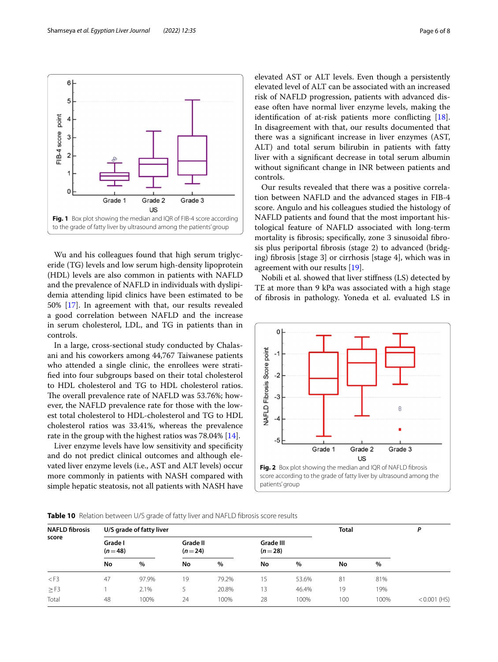Wu and his colleagues found that high serum triglyceride (TG) levels and low serum high-density lipoprotein (HDL) levels are also common in patients with NAFLD and the prevalence of NAFLD in individuals with dyslipidemia attending lipid clinics have been estimated to be 50% [[17\]](#page-7-14). In agreement with that, our results revealed a good correlation between NAFLD and the increase in serum cholesterol, LDL, and TG in patients than in controls.

<span id="page-5-0"></span>**Fig. 1** Box plot showing the median and IQR of FIB-4 score according to the grade of fatty liver by ultrasound among the patients' group

Grade 2

US

Grade 3

Grade 1

In a large, cross-sectional study conducted by Chalasani and his coworkers among 44,767 Taiwanese patients who attended a single clinic, the enrollees were stratifed into four subgroups based on their total cholesterol to HDL cholesterol and TG to HDL cholesterol ratios. The overall prevalence rate of NAFLD was 53.76%; however, the NAFLD prevalence rate for those with the lowest total cholesterol to HDL-cholesterol and TG to HDL cholesterol ratios was 33.41%, whereas the prevalence rate in the group with the highest ratios was 78.04% [\[14](#page-7-11)].

Liver enzyme levels have low sensitivity and specifcity and do not predict clinical outcomes and although elevated liver enzyme levels (i.e., AST and ALT levels) occur more commonly in patients with NASH compared with simple hepatic steatosis, not all patients with NASH have elevated AST or ALT levels. Even though a persistently elevated level of ALT can be associated with an increased risk of NAFLD progression, patients with advanced disease often have normal liver enzyme levels, making the identifcation of at-risk patients more conficting [\[18](#page-7-15)]. In disagreement with that, our results documented that there was a signifcant increase in liver enzymes (AST, ALT) and total serum bilirubin in patients with fatty liver with a signifcant decrease in total serum albumin without signifcant change in INR between patients and controls.

Our results revealed that there was a positive correlation between NAFLD and the advanced stages in FIB-4 score. Angulo and his colleagues studied the histology of NAFLD patients and found that the most important histological feature of NAFLD associated with long-term mortality is fbrosis; specifcally, zone 3 sinusoidal fbrosis plus periportal fbrosis (stage 2) to advanced (bridging) fbrosis [stage 3] or cirrhosis [stage 4], which was in agreement with our results [[19\]](#page-7-16).

Nobili et al. showed that liver stifness (LS) detected by TE at more than 9 kPa was associated with a high stage of fbrosis in pathology. Yoneda et al. evaluated LS in



<span id="page-5-2"></span>

<span id="page-5-1"></span>

| <b>NAFLD fibrosis</b><br>score |                     | U/S grade of fatty liver |                      |       |                       |       | <b>Total</b> |      | D              |
|--------------------------------|---------------------|--------------------------|----------------------|-------|-----------------------|-------|--------------|------|----------------|
|                                | Grade I<br>$(n=48)$ |                          | Grade II<br>$(n=24)$ |       | Grade III<br>$(n=28)$ |       |              |      |                |
|                                | No                  | $\%$                     | No                   | %     | No                    | %     | No           | $\%$ |                |
| $<$ F3                         | 47                  | 97.9%                    | 19                   | 79.2% | 15                    | 53.6% | 81           | 81%  |                |
| $\geq$ F3                      |                     | 2.1%                     |                      | 20.8% | 13                    | 46.4% | 19           | 19%  |                |
| Total                          | 48                  | 100%                     | 24                   | 100%  | 28                    | 100%  | 100          | 100% | $< 0.001$ (HS) |

 $6<sup>1</sup>$ 

5

 $\overline{a}$ 

3

 $\overline{2}$ 

FIB-4 score point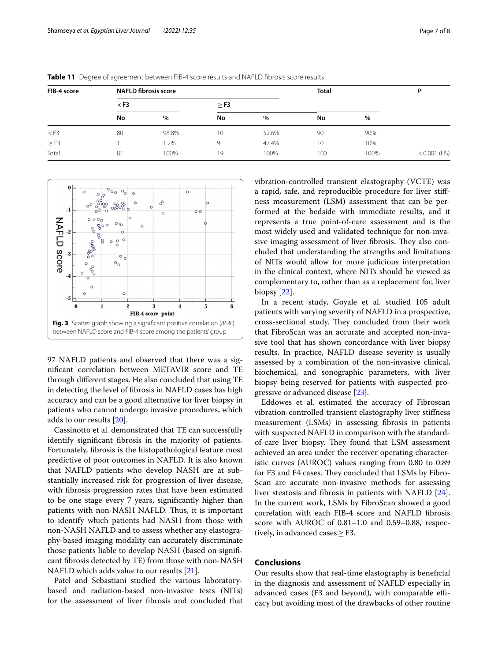| FIB-4 score | <b>NAFLD fibrosis score</b> |       |           |       | <b>Total</b>    |      | D              |
|-------------|-----------------------------|-------|-----------|-------|-----------------|------|----------------|
|             | $<$ F3                      |       | $\geq$ F3 |       |                 |      |                |
|             | No                          | $\%$  | No        | %     | No              | $\%$ |                |
| $<$ F3      | 80                          | 98.8% | 10        | 52.6% | 90              | 90%  |                |
| $\geq$ F3   |                             | 1.2%  | 9         | 47.4% | 10 <sup>°</sup> | 10%  |                |
| Total       | 81                          | 100%  | 19        | 100%  | 100             | 100% | $< 0.001$ (HS) |

<span id="page-6-0"></span>**Table 11** Degree of agreement between FIB-4 score results and NAFLD fbrosis score results



<span id="page-6-1"></span>97 NAFLD patients and observed that there was a signifcant correlation between METAVIR score and TE through diferent stages. He also concluded that using TE in detecting the level of fbrosis in NAFLD cases has high accuracy and can be a good alternative for liver biopsy in patients who cannot undergo invasive procedures, which adds to our results [[20](#page-7-17)].

Cassinotto et al. demonstrated that TE can successfully identify signifcant fbrosis in the majority of patients. Fortunately, fbrosis is the histopathological feature most predictive of poor outcomes in NAFLD. It is also known that NAFLD patients who develop NASH are at substantially increased risk for progression of liver disease, with fbrosis progression rates that have been estimated to be one stage every 7 years, signifcantly higher than patients with non-NASH NAFLD. Thus, it is important to identify which patients had NASH from those with non-NASH NAFLD and to assess whether any elastography-based imaging modality can accurately discriminate those patients liable to develop NASH (based on signifcant fbrosis detected by TE) from those with non-NASH NAFLD which adds value to our results [\[21](#page-7-18)].

Patel and Sebastiani studied the various laboratorybased and radiation-based non-invasive tests (NITs) for the assessment of liver fbrosis and concluded that vibration-controlled transient elastography (VCTE) was a rapid, safe, and reproducible procedure for liver stifness measurement (LSM) assessment that can be performed at the bedside with immediate results, and it represents a true point-of-care assessment and is the most widely used and validated technique for non-invasive imaging assessment of liver fibrosis. They also concluded that understanding the strengths and limitations of NITs would allow for more judicious interpretation in the clinical context, where NITs should be viewed as complementary to, rather than as a replacement for, liver biopsy [[22\]](#page-7-19).

In a recent study, Goyale et al. studied 105 adult patients with varying severity of NAFLD in a prospective, cross-sectional study. They concluded from their work that FibroScan was an accurate and accepted non-invasive tool that has shown concordance with liver biopsy results. In practice, NAFLD disease severity is usually assessed by a combination of the non-invasive clinical, biochemical, and sonographic parameters, with liver biopsy being reserved for patients with suspected progressive or advanced disease [\[23\]](#page-7-20).

Eddowes et al. estimated the accuracy of Fibroscan vibration-controlled transient elastography liver stifness measurement (LSMs) in assessing fbrosis in patients with suspected NAFLD in comparison with the standardof-care liver biopsy. They found that LSM assessment achieved an area under the receiver operating characteristic curves (AUROC) values ranging from 0.80 to 0.89 for F3 and F4 cases. They concluded that LSMs by Fibro-Scan are accurate non-invasive methods for assessing liver steatosis and fbrosis in patients with NAFLD [\[24](#page-7-21)]. In the current work, LSMs by FibroScan showed a good correlation with each FIB-4 score and NAFLD fbrosis score with AUROC of 0.81–1.0 and 0.59–0.88, respectively, in advanced cases  $\geq$  F3.

#### **Conclusions**

Our results show that real-time elastography is benefcial in the diagnosis and assessment of NAFLD especially in advanced cases (F3 and beyond), with comparable efficacy but avoiding most of the drawbacks of other routine